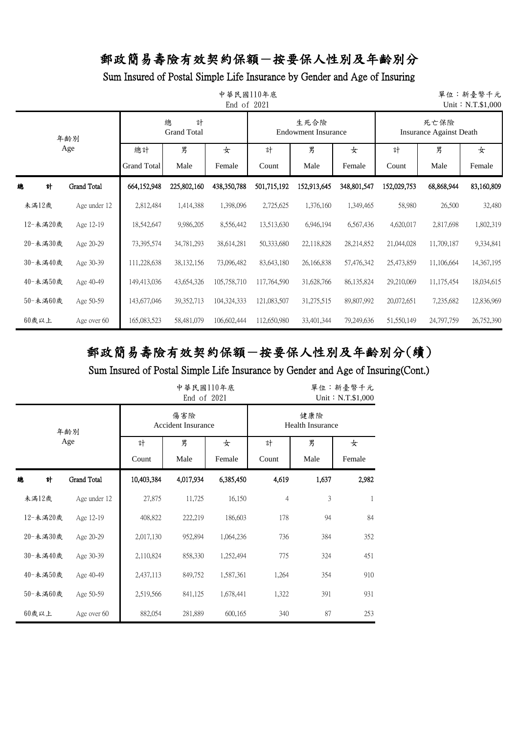Sum Insured of Postal Simple Life Insurance by Gender and Age of Insuring

|          | 中華民國110年底<br>單位:新臺幣千元<br>End of 2021<br>Unit: N.T.\$1,000 |                              |              |             |             |                                    |             |                                        |            |            |  |  |  |
|----------|-----------------------------------------------------------|------------------------------|--------------|-------------|-------------|------------------------------------|-------------|----------------------------------------|------------|------------|--|--|--|
| 年齢別      |                                                           | 總<br>計<br><b>Grand Total</b> |              |             |             | 生死合險<br><b>Endowment Insurance</b> |             | 死亡保險<br><b>Insurance Against Death</b> |            |            |  |  |  |
|          | Age                                                       | 總計                           | 男            | 女           | 計           | 男                                  | 女           | 計                                      | 男          | 女          |  |  |  |
|          |                                                           | <b>Grand Total</b>           | Male         | Female      | Count       | Male                               | Female      | Count                                  | Male       | Female     |  |  |  |
| 計<br>總   | <b>Grand Total</b>                                        | 664,152,948                  | 225,802,160  | 438,350,788 | 501,715,192 | 152,913,645                        | 348,801,547 | 152,029,753                            | 68,868,944 | 83,160,809 |  |  |  |
| 未滿12歲    | Age under 12                                              | 2,812,484                    | 1,414,388    | 1,398,096   | 2,725,625   | 1,376,160                          | 1,349,465   | 58,980                                 | 26,500     | 32,480     |  |  |  |
| 12-未滿20歲 | Age 12-19                                                 | 18,542,647                   | 9,986,205    | 8,556,442   | 13,513,630  | 6,946,194                          | 6,567,436   | 4,620,017                              | 2,817,698  | 1,802,319  |  |  |  |
| 20-未滿30歲 | Age 20-29                                                 | 73,395,574                   | 34,781,293   | 38,614,281  | 50,333,680  | 22,118,828                         | 28,214,852  | 21,044,028                             | 11,709,187 | 9,334,841  |  |  |  |
| 30-未滿40歲 | Age 30-39                                                 | 111,228,638                  | 38, 132, 156 | 73,096,482  | 83,643,180  | 26,166,838                         | 57,476,342  | 25,473,859                             | 11,106,664 | 14,367,195 |  |  |  |
| 40-未滿50歲 | Age 40-49                                                 | 149,413,036                  | 43,654,326   | 105,758,710 | 117,764,590 | 31,628,766                         | 86,135,824  | 29,210,069                             | 11,175,454 | 18,034,615 |  |  |  |
| 50-未滿60歲 | Age 50-59                                                 | 143,677,046                  | 39, 352, 713 | 104,324,333 | 121,083,507 | 31,275,515                         | 89,807,992  | 20,072,651                             | 7,235,682  | 12,836,969 |  |  |  |
| $60$ 歲以上 | Age over 60                                               | 165,083,523                  | 58,481,079   | 106,602,444 | 112,650,980 | 33,401,344                         | 79,249,636  | 51,550,149                             | 24,797,759 | 26,752,390 |  |  |  |

## 郵政簡易壽險有效契約保額-按要保人性別及年齡別分(續)

|          |              |            | 中華民國110年底<br>End of 2021         | 單位:新臺幣千元<br>Unit: N.T.\$1,000 |       |                                |        |  |  |
|----------|--------------|------------|----------------------------------|-------------------------------|-------|--------------------------------|--------|--|--|
|          | 年齢別          |            | 傷害險<br><b>Accident Insurance</b> |                               |       | 健康險<br><b>Health Insurance</b> |        |  |  |
|          | Age          | 計          | 男                                | 女                             | 計     | 男                              | 女      |  |  |
|          |              | Count      | Male                             | Female                        | Count | Male                           | Female |  |  |
| 總<br>計   | Grand Total  | 10,403,384 | 4,017,934                        | 6,385,450                     | 4,619 | 1,637                          | 2,982  |  |  |
| 未満12歲    | Age under 12 | 27,875     | 11,725                           | 16,150                        | 4     | 3                              | 1      |  |  |
| 12-未滿20歲 | Age 12-19    | 408,822    | 222,219                          | 186,603                       | 178   | 94                             | 84     |  |  |
| 20-未滿30歲 | Age 20-29    | 2,017,130  | 952,894                          | 1,064,236                     | 736   | 384                            | 352    |  |  |
| 30-未滿40歲 | Age 30-39    | 2,110,824  | 858,330                          | 1,252,494                     | 775   | 324                            | 451    |  |  |
| 40-未滿50歲 | Age 40-49    | 2,437,113  | 849,752                          | 1,587,361                     | 1,264 | 354                            | 910    |  |  |
| 50-未滿60歲 | Age 50-59    | 2,519,566  | 841,125                          | 1,678,441                     | 1,322 | 391                            | 931    |  |  |
| $60$ 歲以上 | Age over 60  | 882,054    | 281,889                          | 600,165                       | 340   | 87                             | 253    |  |  |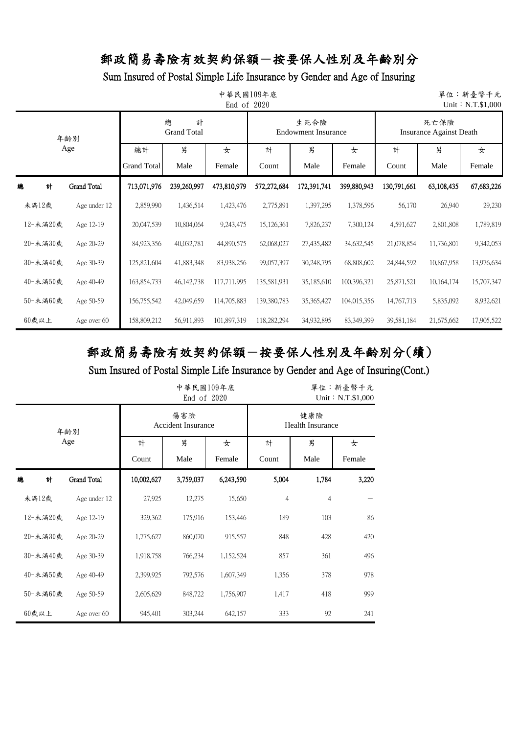Sum Insured of Postal Simple Life Insurance by Gender and Age of Insuring

|   | 中華民國109年底<br>單位:新臺幣千元<br>End of 2020<br>Unit: N.T.\$1,000 |                    |                    |                              |             |             |                                    |              |                                        |            |            |  |  |
|---|-----------------------------------------------------------|--------------------|--------------------|------------------------------|-------------|-------------|------------------------------------|--------------|----------------------------------------|------------|------------|--|--|
|   | 年齢別                                                       |                    |                    | 總<br>計<br><b>Grand Total</b> |             |             | 生死合險<br><b>Endowment Insurance</b> |              | 死亡保險<br><b>Insurance Against Death</b> |            |            |  |  |
|   |                                                           | Age                | 總計                 | 男                            | 女           | 計           | 男                                  | 女            | 計                                      | 男          | 女          |  |  |
|   |                                                           |                    | <b>Grand Total</b> | Male                         | Female      | Count       | Male                               | Female       | Count                                  | Male       | Female     |  |  |
| 總 | 計                                                         | <b>Grand Total</b> | 713,071,976        | 239,260,997                  | 473,810,979 | 572,272,684 | 172,391,741                        | 399,880,943  | 130,791,661                            | 63,108,435 | 67,683,226 |  |  |
|   | 未滿12歲                                                     | Age under 12       | 2,859,990          | 1,436,514                    | 1,423,476   | 2,775,891   | 1,397,295                          | 1,378,596    | 56,170                                 | 26,940     | 29,230     |  |  |
|   | 12-未滿20歲                                                  | Age 12-19          | 20,047,539         | 10,804,064                   | 9,243,475   | 15,126,361  | 7,826,237                          | 7,300,124    | 4,591,627                              | 2,801,808  | 1,789,819  |  |  |
|   | 20-未滿30歲                                                  | Age 20-29          | 84,923,356         | 40,032,781                   | 44,890,575  | 62,068,027  | 27,435,482                         | 34,632,545   | 21,078,854                             | 11,736,801 | 9,342,053  |  |  |
|   | 30-未滿40歲                                                  | Age 30-39          | 125,821,604        | 41,883,348                   | 83,938,256  | 99,057,397  | 30,248,795                         | 68,808,602   | 24,844,592                             | 10,867,958 | 13,976,634 |  |  |
|   | 40-未滿50歲                                                  | Age 40-49          | 163,854,733        | 46, 142, 738                 | 117,711,995 | 135,581,931 | 35,185,610                         | 100,396,321  | 25,871,521                             | 10,164,174 | 15,707,347 |  |  |
|   | 50-未滿60歲                                                  | Age 50-59          | 156,755,542        | 42,049,659                   | 114,705,883 | 139,380,783 | 35, 365, 427                       | 104,015,356  | 14,767,713                             | 5,835,092  | 8,932,621  |  |  |
|   | $60$ 歲以上                                                  | Age over 60        | 158,809,212        | 56,911,893                   | 101,897,319 | 118,282,294 | 34,932,895                         | 83, 349, 399 | 39,581,184                             | 21,675,662 | 17,905,522 |  |  |

# 郵政簡易壽險有效契約保額-按要保人性別及年齡別分(續)

|          |   |                    |            | 中華民國109年底<br>End of 2020         | 單位:新臺幣千元<br>Unit: N.T.\$1,000 |                |                                |        |  |  |  |
|----------|---|--------------------|------------|----------------------------------|-------------------------------|----------------|--------------------------------|--------|--|--|--|
|          |   | 年齢別                |            | 傷害險<br><b>Accident Insurance</b> |                               |                | 健康險<br><b>Health Insurance</b> |        |  |  |  |
|          |   | Age                | 計          | 男                                | 女                             | 計              | 男                              | 女      |  |  |  |
|          |   |                    | Count      | Male                             | Female                        | Count          | Male                           | Female |  |  |  |
| 總        | 計 | <b>Grand Total</b> | 10,002,627 | 3,759,037                        | 6,243,590                     | 5,004          | 1,784                          | 3,220  |  |  |  |
| 未滿12歲    |   | Age under 12       | 27,925     | 12,275                           | 15,650                        | $\overline{4}$ | $\overline{4}$                 |        |  |  |  |
| 12-未滿20歲 |   | Age 12-19          | 329,362    | 175,916                          | 153,446                       | 189            | 103                            | 86     |  |  |  |
| 20-未滿30歲 |   | Age 20-29          | 1,775,627  | 860,070                          | 915,557                       | 848            | 428                            | 420    |  |  |  |
| 30-未滿40歲 |   | Age 30-39          | 1,918,758  | 766,234                          | 1,152,524                     | 857            | 361                            | 496    |  |  |  |
| 40-未滿50歲 |   | Age 40-49          | 2,399,925  | 792,576                          | 1,607,349                     | 1,356          | 378                            | 978    |  |  |  |
| 50-未滿60歲 |   | Age 50-59          | 2,605,629  | 848,722                          | 1,756,907                     | 1,417          | 418                            | 999    |  |  |  |
| $60$ 歲以上 |   | Age over 60        | 945,401    | 303,244                          | 642,157                       | 333            | 92                             | 241    |  |  |  |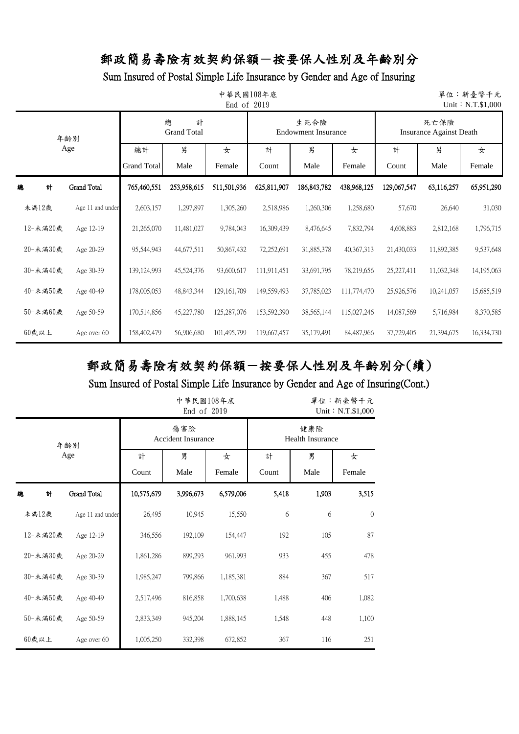Sum Insured of Postal Simple Life Insurance by Gender and Age of Insuring

|          | 中華民國108年底<br>單位:新臺幣千元<br>End of 2019<br>Unit: N.T.\$1,000 |                          |                              |               |             |                                    |             |                                        |            |             |  |  |  |  |
|----------|-----------------------------------------------------------|--------------------------|------------------------------|---------------|-------------|------------------------------------|-------------|----------------------------------------|------------|-------------|--|--|--|--|
|          | 年齡別                                                       |                          | 總<br>計<br><b>Grand Total</b> |               |             | 生死合險<br><b>Endowment Insurance</b> |             | 死亡保險<br><b>Insurance Against Death</b> |            |             |  |  |  |  |
| Age      |                                                           | 總計<br><b>Grand Total</b> | 男<br>Male                    | 女<br>Female   | 計<br>Count  | 男<br>Male                          | 女<br>Female | 計<br>Count                             | 男<br>Male  | 女<br>Female |  |  |  |  |
| 計<br>總   | Grand Total                                               | 765,460,551              | 253,958,615                  | 511,501,936   | 625,811,907 | 186,843,782                        | 438,968,125 | 129,067,547                            | 63,116,257 | 65,951,290  |  |  |  |  |
| 未滿12歲    | Age 11 and under                                          | 2,603,157                | 1,297,897                    | 1,305,260     | 2,518,986   | 1,260,306                          | 1,258,680   | 57,670                                 | 26,640     | 31,030      |  |  |  |  |
| 12-未滿20歲 | Age 12-19                                                 | 21,265,070               | 11,481,027                   | 9,784,043     | 16,309,439  | 8,476,645                          | 7,832,794   | 4,608,883                              | 2,812,168  | 1,796,715   |  |  |  |  |
| 20-未滿30歲 | Age 20-29                                                 | 95,544,943               | 44,677,511                   | 50,867,432    | 72,252,691  | 31,885,378                         | 40,367,313  | 21,430,033                             | 11,892,385 | 9,537,648   |  |  |  |  |
| 30-未滿40歲 | Age 30-39                                                 | 139,124,993              | 45,524,376                   | 93,600,617    | 111,911,451 | 33,691,795                         | 78,219,656  | 25,227,411                             | 11,032,348 | 14,195,063  |  |  |  |  |
| 40-未滿50歲 | Age 40-49                                                 | 178,005,053              | 48,843,344                   | 129, 161, 709 | 149,559,493 | 37,785,023                         | 111,774,470 | 25,926,576                             | 10,241,057 | 15,685,519  |  |  |  |  |
| 50-未滿60歲 | Age 50-59                                                 | 170,514,856              | 45,227,780                   | 125, 287, 076 | 153,592,390 | 38, 565, 144                       | 115,027,246 | 14,087,569                             | 5,716,984  | 8,370,585   |  |  |  |  |
| $60$ 歲以上 | Age over 60                                               | 158,402,479              | 56,906,680                   | 101,495,799   | 119,667,457 | 35,179,491                         | 84,487,966  | 37,729,405                             | 21,394,675 | 16,334,730  |  |  |  |  |

## 郵政簡易壽險有效契約保額-按要保人性別及年齡別分(續)

|          |   |                    |            | 中華民國108年底<br>End of 2019         |             |            |                                | 單位:新臺幣千元<br>Unit: N.T.\$1,000 |  |  |
|----------|---|--------------------|------------|----------------------------------|-------------|------------|--------------------------------|-------------------------------|--|--|
|          |   | 年齢別                |            | 傷害險<br><b>Accident Insurance</b> |             |            | 健康險<br><b>Health Insurance</b> |                               |  |  |
|          |   | Age                | 計<br>Count | 男<br>Male                        | 女<br>Female | 計<br>Count | 男<br>Male                      | 女<br>Female                   |  |  |
| 總        | 計 | <b>Grand Total</b> | 10,575,679 | 3,996,673                        | 6,579,006   | 5,418      | 1,903                          | 3,515                         |  |  |
| 未滿12歲    |   | Age 11 and under   | 26,495     | 10,945                           | 15,550      | 6          | 6                              | $\theta$                      |  |  |
| 12-未滿20歲 |   | Age 12-19          | 346,556    | 192,109                          | 154,447     | 192        | 105                            | 87                            |  |  |
| 20-未滿30歲 |   | Age 20-29          | 1,861,286  | 899,293                          | 961,993     | 933        | 455                            | 478                           |  |  |
| 30-未滿40歲 |   | Age 30-39          | 1,985,247  | 799,866                          | 1,185,381   | 884        | 367                            | 517                           |  |  |
| 40-未満50歳 |   | Age 40-49          | 2,517,496  | 816,858                          | 1,700,638   | 1,488      | 406                            | 1,082                         |  |  |
| 50-未滿60歲 |   | Age 50-59          | 2,833,349  | 945,204                          | 1,888,145   | 1,548      | 448                            | 1,100                         |  |  |
| 60歲以上    |   | Age over 60        | 1,005,250  | 332,398                          | 672,852     | 367        | 116                            | 251                           |  |  |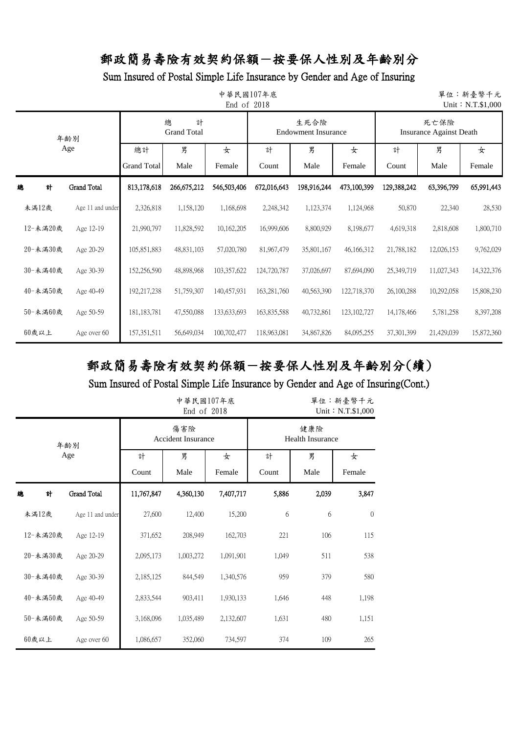Sum Insured of Postal Simple Life Insurance by Gender and Age of Insuring

|          | 中華民國107年底<br>單位:新臺幣千元<br>End of 2018<br>Unit: N.T.\$1,000 |                          |                              |             |             |                                    |               |                                        |            |             |  |  |  |  |
|----------|-----------------------------------------------------------|--------------------------|------------------------------|-------------|-------------|------------------------------------|---------------|----------------------------------------|------------|-------------|--|--|--|--|
|          | 年齡別                                                       |                          | 總<br>計<br><b>Grand Total</b> |             |             | 生死合險<br><b>Endowment Insurance</b> |               | 死亡保險<br><b>Insurance Against Death</b> |            |             |  |  |  |  |
| Age      |                                                           | 總計<br><b>Grand Total</b> | 男<br>Male                    | 女<br>Female | 計<br>Count  | 男<br>Male                          | 女<br>Female   | 計<br>Count                             | 男<br>Male  | 女<br>Female |  |  |  |  |
| 計<br>總   | Grand Total                                               | 813,178,618              | 266,675,212                  | 546,503,406 | 672,016,643 | 198,916,244                        | 473,100,399   | 129,388,242                            | 63,396,799 | 65,991,443  |  |  |  |  |
| 未滿12歲    | Age 11 and under                                          | 2,326,818                | 1,158,120                    | 1,168,698   | 2,248,342   | 1,123,374                          | 1,124,968     | 50,870                                 | 22,340     | 28,530      |  |  |  |  |
| 12-未滿20歲 | Age 12-19                                                 | 21,990,797               | 11,828,592                   | 10,162,205  | 16,999,606  | 8,800,929                          | 8,198,677     | 4,619,318                              | 2,818,608  | 1,800,710   |  |  |  |  |
| 20-未滿30歲 | Age 20-29                                                 | 105,851,883              | 48,831,103                   | 57,020,780  | 81,967,479  | 35,801,167                         | 46,166,312    | 21,788,182                             | 12,026,153 | 9,762,029   |  |  |  |  |
| 30-未滿40歲 | Age 30-39                                                 | 152,256,590              | 48,898,968                   | 103,357,622 | 124,720,787 | 37,026,697                         | 87,694,090    | 25,349,719                             | 11,027,343 | 14,322,376  |  |  |  |  |
| 40-未滿50歲 | Age 40-49                                                 | 192,217,238              | 51,759,307                   | 140,457,931 | 163,281,760 | 40,563,390                         | 122,718,370   | 26,100,288                             | 10,292,058 | 15,808,230  |  |  |  |  |
| 50-未滿60歲 | Age 50-59                                                 | 181, 183, 781            | 47,550,088                   | 133,633,693 | 163,835,588 | 40,732,861                         | 123, 102, 727 | 14,178,466                             | 5,781,258  | 8,397,208   |  |  |  |  |
| $60$ 歲以上 | Age over 60                                               | 157,351,511              | 56,649,034                   | 100,702,477 | 118,963,081 | 34,867,826                         | 84,095,255    | 37,301,399                             | 21,429,039 | 15,872,360  |  |  |  |  |

## 郵政簡易壽險有效契約保額-按要保人性別及年齡別分(續)

|          |                  |            |                                  | 單位:新臺幣千元<br>Unit: N.T.\$1,000 |            |                                |              |  |  |
|----------|------------------|------------|----------------------------------|-------------------------------|------------|--------------------------------|--------------|--|--|
|          | 年齢別              |            | 傷害險<br><b>Accident Insurance</b> |                               |            | 健康險<br><b>Health Insurance</b> |              |  |  |
|          | Age              | 計<br>Count | 男<br>Male                        | 女<br>Female                   | 計<br>Count | 男<br>Male                      | 女<br>Female  |  |  |
| 緿<br>計   | Grand Total      | 11,767,847 | 4,360,130                        | 7,407,717                     | 5,886      | 2,039                          | 3,847        |  |  |
| 未滿12歲    | Age 11 and under | 27,600     | 12,400                           | 15,200                        | 6          | 6                              | $\mathbf{0}$ |  |  |
| 12-未滿20歲 | Age 12-19        | 371,652    | 208,949                          | 162,703                       | 221        | 106                            | 115          |  |  |
| 20-未満30歳 | Age 20-29        | 2,095,173  | 1,003,272                        | 1,091,901                     | 1,049      | 511                            | 538          |  |  |
| 30-未滿40歲 | Age 30-39        | 2,185,125  | 844,549                          | 1,340,576                     | 959        | 379                            | 580          |  |  |
| 40-未滿50歲 | Age 40-49        | 2,833,544  | 903,411                          | 1,930,133                     | 1,646      | 448                            | 1,198        |  |  |
| 50-未満60歲 | Age 50-59        | 3,168,096  | 1,035,489                        | 2,132,607                     | 1,631      | 480                            | 1,151        |  |  |
| 60歲以上    | Age over 60      | 1,086,657  | 352,060                          | 734,597                       | 374        | 109                            | 265          |  |  |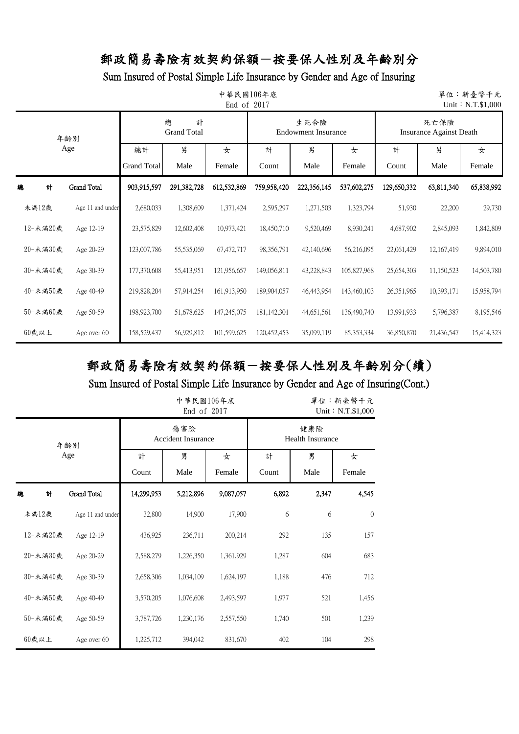Sum Insured of Postal Simple Life Insurance by Gender and Age of Insuring

|          | 中華民國106年底<br>單位:新臺幣千元<br>End of 2017<br>Unit: N.T.\$1,000 |                          |                              |             |             |                                    |              |                                        |            |             |  |  |  |  |
|----------|-----------------------------------------------------------|--------------------------|------------------------------|-------------|-------------|------------------------------------|--------------|----------------------------------------|------------|-------------|--|--|--|--|
|          | 年齢別                                                       |                          | 總<br>計<br><b>Grand Total</b> |             |             | 生死合險<br><b>Endowment Insurance</b> |              | 死亡保險<br><b>Insurance Against Death</b> |            |             |  |  |  |  |
| Age      |                                                           | 總計<br><b>Grand Total</b> | 男<br>Male                    | 女<br>Female | 計<br>Count  | 男<br>Male                          | 女<br>Female  | 計<br>Count                             | 男<br>Male  | 女<br>Female |  |  |  |  |
| 總<br>計   | Grand Total                                               | 903,915,597              | 291,382,728                  | 612,532,869 | 759,958,420 | 222,356,145                        | 537,602,275  | 129,650,332                            | 63,811,340 | 65,838,992  |  |  |  |  |
| 未満12歲    | Age 11 and under                                          | 2,680,033                | 1,308,609                    | 1,371,424   | 2,595,297   | 1,271,503                          | 1,323,794    | 51,930                                 | 22,200     | 29,730      |  |  |  |  |
| 12-未滿20歲 | Age 12-19                                                 | 23,575,829               | 12,602,408                   | 10,973,421  | 18,450,710  | 9,520,469                          | 8,930,241    | 4,687,902                              | 2,845,093  | 1,842,809   |  |  |  |  |
| 20-未滿30歲 | Age 20-29                                                 | 123,007,786              | 55,535,069                   | 67,472,717  | 98,356,791  | 42,140,696                         | 56,216,095   | 22,061,429                             | 12,167,419 | 9,894,010   |  |  |  |  |
| 30-未滿40歲 | Age 30-39                                                 | 177,370,608              | 55,413,951                   | 121,956,657 | 149,056,811 | 43,228,843                         | 105,827,968  | 25,654,303                             | 11,150,523 | 14,503,780  |  |  |  |  |
| 40-未滿50歲 | Age 40-49                                                 | 219,828,204              | 57,914,254                   | 161,913,950 | 189,904,057 | 46,443,954                         | 143,460,103  | 26,351,965                             | 10,393,171 | 15,958,794  |  |  |  |  |
| 50-未滿60歲 | Age 50-59                                                 | 198,923,700              | 51,678,625                   | 147,245,075 | 181,142,301 | 44,651,561                         | 136,490,740  | 13,991,933                             | 5,796,387  | 8,195,546   |  |  |  |  |
| 60歲以上    | Age over 60                                               | 158,529,437              | 56,929,812                   | 101,599,625 | 120,452,453 | 35,099,119                         | 85, 353, 334 | 36,850,870                             | 21,436,547 | 15,414,323  |  |  |  |  |

## 郵政簡易壽險有效契約保額-按要保人性別及年齡別分(續)

|          | 中華民國106年底<br>End of 2017 |            |                                  |             |            |                                |              |  |  |  |  |  |  |
|----------|--------------------------|------------|----------------------------------|-------------|------------|--------------------------------|--------------|--|--|--|--|--|--|
|          | 年齢別                      |            | 傷害險<br><b>Accident Insurance</b> |             |            | 健康險<br><b>Health Insurance</b> |              |  |  |  |  |  |  |
|          | Age                      | 計<br>Count | 男<br>Male                        | 女<br>Female | 計<br>Count | 男<br>Male                      | 女<br>Female  |  |  |  |  |  |  |
| 緿<br>計   | Grand Total              | 14,299,953 | 5,212,896                        | 9,087,057   | 6,892      | 2,347                          | 4,545        |  |  |  |  |  |  |
| 未滿12歲    | Age 11 and under         | 32,800     | 14,900                           | 17,900      | 6          | 6                              | $\mathbf{0}$ |  |  |  |  |  |  |
| 12-未滿20歲 | Age 12-19                | 436,925    | 236,711                          | 200,214     | 292        | 135                            | 157          |  |  |  |  |  |  |
| 20-未満30歳 | Age 20-29                | 2,588,279  | 1,226,350                        | 1,361,929   | 1,287      | 604                            | 683          |  |  |  |  |  |  |
| 30-未滿40歲 | Age 30-39                | 2,658,306  | 1,034,109                        | 1,624,197   | 1,188      | 476                            | 712          |  |  |  |  |  |  |
| 40-未滿50歲 | Age 40-49                | 3,570,205  | 1,076,608                        | 2,493,597   | 1,977      | 521                            | 1,456        |  |  |  |  |  |  |
| 50-未滿60歲 | Age 50-59                | 3,787,726  | 1,230,176                        | 2,557,550   | 1,740      | 501                            | 1,239        |  |  |  |  |  |  |
| 60歲以上    | Age over 60              | 1,225,712  | 394,042                          | 831,670     | 402        | 104                            | 298          |  |  |  |  |  |  |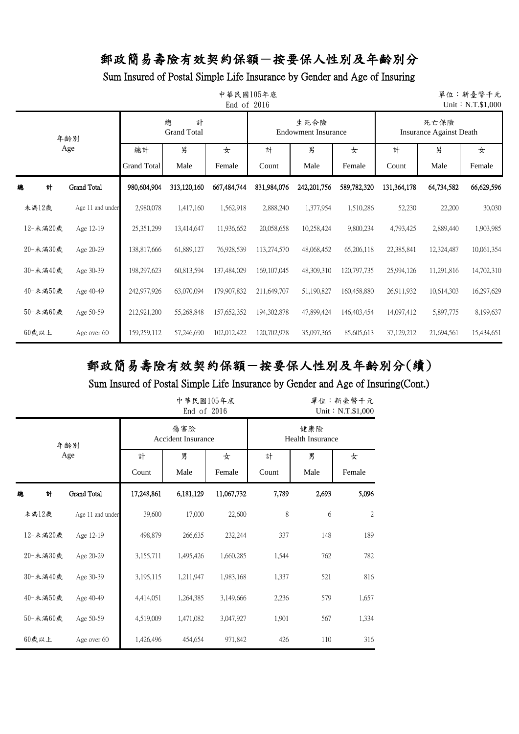Sum Insured of Postal Simple Life Insurance by Gender and Age of Insuring

|          | 中華民國105年底<br>單位:新臺幣千元<br>End of 2016<br>Unit: N.T.\$1,000 |                          |                              |             |               |                                    |             |                                        |            |             |  |  |  |  |
|----------|-----------------------------------------------------------|--------------------------|------------------------------|-------------|---------------|------------------------------------|-------------|----------------------------------------|------------|-------------|--|--|--|--|
|          | 年齡別                                                       |                          | 總<br>計<br><b>Grand Total</b> |             |               | 生死合險<br><b>Endowment Insurance</b> |             | 死亡保險<br><b>Insurance Against Death</b> |            |             |  |  |  |  |
| Age      |                                                           | 總計<br><b>Grand Total</b> | 男<br>Male                    | 女<br>Female | 計<br>Count    | 男<br>Male                          | 女<br>Female | 計<br>Count                             | 男<br>Male  | 女<br>Female |  |  |  |  |
| 計<br>總   | Grand Total                                               | 980,604,904              | 313,120,160                  | 667,484,744 | 831,984,076   | 242,201,756                        | 589,782,320 | 131,364,178                            | 64,734,582 | 66,629,596  |  |  |  |  |
| 未滿12歲    | Age 11 and under                                          | 2,980,078                | 1,417,160                    | 1,562,918   | 2,888,240     | 1,377,954                          | 1,510,286   | 52,230                                 | 22,200     | 30,030      |  |  |  |  |
| 12-未滿20歲 | Age 12-19                                                 | 25,351,299               | 13,414,647                   | 11,936,652  | 20,058,658    | 10,258,424                         | 9,800,234   | 4,793,425                              | 2,889,440  | 1,903,985   |  |  |  |  |
| 20-未滿30歲 | Age 20-29                                                 | 138,817,666              | 61,889,127                   | 76,928,539  | 113,274,570   | 48,068,452                         | 65,206,118  | 22,385,841                             | 12,324,487 | 10,061,354  |  |  |  |  |
| 30-未滿40歲 | Age 30-39                                                 | 198,297,623              | 60,813,594                   | 137,484,029 | 169, 107, 045 | 48,309,310                         | 120,797,735 | 25,994,126                             | 11,291,816 | 14,702,310  |  |  |  |  |
| 40-未滿50歲 | Age 40-49                                                 | 242,977,926              | 63,070,094                   | 179,907,832 | 211,649,707   | 51,190,827                         | 160,458,880 | 26,911,932                             | 10,614,303 | 16,297,629  |  |  |  |  |
| 50-未滿60歲 | Age 50-59                                                 | 212,921,200              | 55,268,848                   | 157,652,352 | 194, 302, 878 | 47,899,424                         | 146,403,454 | 14,097,412                             | 5,897,775  | 8,199,637   |  |  |  |  |
| $60$ 歲以上 | Age over 60                                               | 159,259,112              | 57,246,690                   | 102,012,422 | 120,702,978   | 35,097,365                         | 85,605,613  | 37,129,212                             | 21,694,561 | 15,434,651  |  |  |  |  |

## 郵政簡易壽險有效契約保額-按要保人性別及年齡別分(續)

|          |                  | 中華民國105年底<br>End of 2016               |                                  |            | 單位:新臺幣千元<br>Unit: N.T.\$1,000  |           |                |  |
|----------|------------------|----------------------------------------|----------------------------------|------------|--------------------------------|-----------|----------------|--|
|          | 年齢別              |                                        | 傷害險<br><b>Accident Insurance</b> |            | 健康險<br><b>Health Insurance</b> |           |                |  |
|          | Age              | 計<br>男<br>女<br>Male<br>Female<br>Count |                                  |            | 計<br>Count                     | 男<br>Male | 女<br>Female    |  |
| 計<br>緿   | Grand Total      | 17,248,861                             | 6,181,129                        | 11,067,732 | 7,789                          | 2,693     | 5,096          |  |
| 未滿12歲    | Age 11 and under | 39,600                                 | 17,000                           | 22,600     | 8                              | 6         | $\overline{2}$ |  |
| 12-未滿20歲 | Age 12-19        | 498,879                                | 266,635                          | 232,244    | 337                            | 148       | 189            |  |
| 20-未滿30歲 | Age 20-29        | 3,155,711                              | 1,495,426                        | 1,660,285  | 1,544                          | 762       | 782            |  |
| 30-未滿40歲 | Age 30-39        | 3,195,115                              | 1,211,947                        | 1,983,168  | 1,337                          | 521       | 816            |  |
| 40-未滿50歲 | Age 40-49        | 4,414,051                              | 1,264,385                        | 3,149,666  | 2,236                          | 579       | 1,657          |  |
| 50-未滿60歲 | Age 50-59        | 4,519,009                              | 1,471,082                        | 3,047,927  | 1,901                          | 567       | 1,334          |  |
| 60歲以上    | Age over 60      | 1,426,496                              | 454,654                          | 971,842    | 426                            | 110       | 316            |  |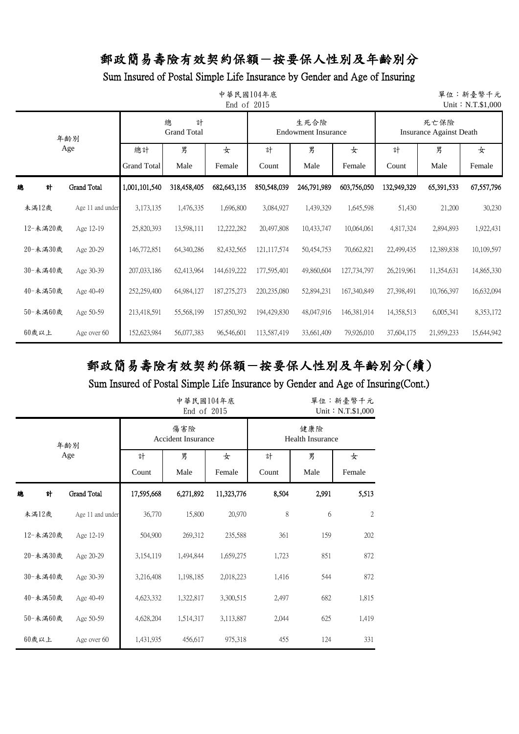Sum Insured of Postal Simple Life Insurance by Gender and Age of Insuring

|          | 中華民國104年底<br>單位:新臺幣千元<br>End of 2015<br>Unit: N.T.\$1,000 |                          |                              |               |               |                                    |             |                                        |            |             |  |  |  |  |
|----------|-----------------------------------------------------------|--------------------------|------------------------------|---------------|---------------|------------------------------------|-------------|----------------------------------------|------------|-------------|--|--|--|--|
|          | 年齡別                                                       |                          | 總<br>計<br><b>Grand Total</b> |               |               | 生死合險<br><b>Endowment Insurance</b> |             | 死亡保險<br><b>Insurance Against Death</b> |            |             |  |  |  |  |
|          | Age                                                       | 總計<br><b>Grand Total</b> | 男<br>Male                    | 女<br>Female   | 計<br>Count    | 男<br>Male                          | 女<br>Female | 男<br>計<br>Count<br>Male                |            | 女<br>Female |  |  |  |  |
| 計<br>總   | <b>Grand Total</b>                                        | 1,001,101,540            | 318,458,405                  | 682,643,135   | 850,548,039   | 246,791,989                        | 603,756,050 | 132,949,329                            | 65,391,533 | 67,557,796  |  |  |  |  |
| 未滿12歲    | Age 11 and under                                          | 3,173,135                | 1,476,335                    | 1,696,800     | 3,084,927     | 1,439,329                          | 1,645,598   | 51,430                                 | 21,200     | 30,230      |  |  |  |  |
| 12-未滿20歲 | Age 12-19                                                 | 25,820,393               | 13,598,111                   | 12,222,282    | 20,497,808    | 10,433,747                         | 10,064,061  | 4,817,324                              | 2,894,893  | 1,922,431   |  |  |  |  |
| 20-未満30歲 | Age 20-29                                                 | 146,772,851              | 64,340,286                   | 82,432,565    | 121,117,574   | 50,454,753                         | 70,662,821  | 22,499,435                             | 12,389,838 | 10,109,597  |  |  |  |  |
| 30-未滿40歲 | Age 30-39                                                 | 207,033,186              | 62,413,964                   | 144,619,222   | 177,595,401   | 49,860,604                         | 127,734,797 | 26,219,961                             | 11,354,631 | 14,865,330  |  |  |  |  |
| 40-未滿50歲 | Age 40-49                                                 | 252,259,400              | 64,984,127                   | 187, 275, 273 | 220, 235, 080 | 52,894,231                         | 167,340,849 | 27,398,491                             | 10,766,397 | 16,632,094  |  |  |  |  |
| 50-未滿60歲 | Age 50-59                                                 | 213,418,591              | 55,568,199                   | 157,850,392   | 194,429,830   | 48,047,916                         | 146,381,914 | 14,358,513                             | 6,005,341  | 8,353,172   |  |  |  |  |
| $60$ 歲以上 | Age over 60                                               | 152,623,984              | 56,077,383                   | 96,546,601    | 113,587,419   | 33,661,409                         | 79,926,010  | 37,604,175                             | 21,959,233 | 15,644,942  |  |  |  |  |

## 郵政簡易壽險有效契約保額-按要保人性別及年齡別分(續)

|          |                  |            | 中華民國104年底<br>End of 2015         |             |                                | 單位:新臺幣千元<br>Unit: N.T.\$1,000 |                |  |  |
|----------|------------------|------------|----------------------------------|-------------|--------------------------------|-------------------------------|----------------|--|--|
|          | 年齢別              |            | 傷害險<br><b>Accident Insurance</b> |             | 健康險<br><b>Health Insurance</b> |                               |                |  |  |
|          | Age              | 計<br>Count | 男<br>Male                        | 女<br>Female | 計<br>Count                     | 男<br>Male                     | 女<br>Female    |  |  |
| 緿<br>計   | Grand Total      | 17,595,668 | 6,271,892                        | 11,323,776  | 8,504                          | 2,991                         | 5,513          |  |  |
| 未滿12歲    | Age 11 and under | 36,770     | 15,800                           | 20,970      | 8                              | 6                             | $\overline{2}$ |  |  |
| 12-未滿20歲 | Age 12-19        | 504,900    | 269,312                          | 235,588     | 361                            | 159                           | 202            |  |  |
| 20-未満30歳 | Age 20-29        | 3,154,119  | 1,494,844                        | 1,659,275   | 1,723                          | 851                           | 872            |  |  |
| 30-未滿40歲 | Age 30-39        | 3,216,408  | 1,198,185                        | 2,018,223   | 1,416                          | 544                           | 872            |  |  |
| 40-未滿50歲 | Age 40-49        | 4,623,332  | 1,322,817                        | 3,300,515   | 2,497                          | 682                           | 1,815          |  |  |
| 50-未満60歲 | Age 50-59        | 4,628,204  | 1,514,317                        | 3,113,887   | 2,044                          | 625                           | 1,419          |  |  |
| 60歲以上    | Age over 60      | 1,431,935  | 456,617                          | 975,318     | 455                            | 124                           | 331            |  |  |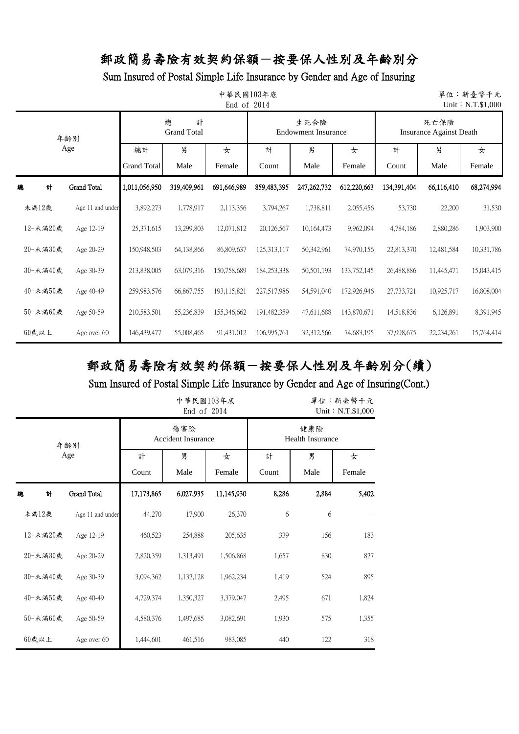Sum Insured of Postal Simple Life Insurance by Gender and Age of Insuring

|          | 中華民國103年底<br>單位:新臺幣千元<br>End of 2014<br>Unit: N.T.\$1,000 |                          |                              |             |               |                                    |             |                                        |            |             |  |  |  |  |
|----------|-----------------------------------------------------------|--------------------------|------------------------------|-------------|---------------|------------------------------------|-------------|----------------------------------------|------------|-------------|--|--|--|--|
|          | 年齢別                                                       |                          | 總<br>計<br><b>Grand Total</b> |             |               | 生死合險<br><b>Endowment Insurance</b> |             | 死亡保險<br><b>Insurance Against Death</b> |            |             |  |  |  |  |
|          | Age                                                       | 總計<br><b>Grand Total</b> | 男<br>Male                    | 女<br>Female | 計<br>Count    | 男<br>Male                          | 女<br>Female | 男<br>計<br>Count<br>Male                |            | 女<br>Female |  |  |  |  |
| 計<br>總   | Grand Total                                               | 1,011,056,950            | 319,409,961                  | 691,646,989 | 859,483,395   | 247, 262, 732                      | 612,220,663 | 134,391,404                            | 66,116,410 | 68,274,994  |  |  |  |  |
| 未満12歲    | Age 11 and under                                          | 3,892,273                | 1,778,917                    | 2,113,356   | 3,794,267     | 1,738,811                          | 2,055,456   | 53,730                                 | 22,200     | 31,530      |  |  |  |  |
| 12-未滿20歲 | Age 12-19                                                 | 25,371,615               | 13,299,803                   | 12,071,812  | 20,126,567    | 10,164,473                         | 9,962,094   | 4,784,186                              | 2,880,286  | 1,903,900   |  |  |  |  |
| 20-未滿30歲 | Age 20-29                                                 | 150,948,503              | 64,138,866                   | 86,809,637  | 125,313,117   | 50,342,961                         | 74,970,156  | 22,813,370                             | 12,481,584 | 10,331,786  |  |  |  |  |
| 30-未滿40歲 | Age 30-39                                                 | 213,838,005              | 63,079,316                   | 150,758,689 | 184, 253, 338 | 50,501,193                         | 133,752,145 | 26,488,886                             | 11,445,471 | 15,043,415  |  |  |  |  |
| 40-未滿50歲 | Age 40-49                                                 | 259,983,576              | 66,867,755                   | 193,115,821 | 227,517,986   | 54,591,040                         | 172,926,946 | 27,733,721                             | 10,925,717 | 16,808,004  |  |  |  |  |
| 50-未滿60歲 | Age 50-59                                                 | 210,583,501              | 55,236,839                   | 155,346,662 | 191,482,359   | 47,611,688                         | 143,870,671 | 14,518,836                             | 6,126,891  | 8,391,945   |  |  |  |  |
| 60歲以上    | Age over 60                                               | 146,439,477              | 55,008,465                   | 91,431,012  | 106,995,761   | 32,312,566                         | 74,683,195  | 37,998,675                             | 22,234,261 | 15,764,414  |  |  |  |  |

## 郵政簡易壽險有效契約保額-按要保人性別及年齡別分(續)

|          |                  |            | 中華民國103年底<br>End of 2014         |             |            | 單位:新臺幣千元<br>Unit: N.T.\$1,000  |             |  |  |
|----------|------------------|------------|----------------------------------|-------------|------------|--------------------------------|-------------|--|--|
|          | 年齢別              |            | 傷害險<br><b>Accident Insurance</b> |             |            | 健康險<br><b>Health Insurance</b> |             |  |  |
|          | Age              | 計<br>Count | 男<br>Male                        | 女<br>Female | 計<br>Count | 男<br>Male                      | 女<br>Female |  |  |
| 總<br>計   | Grand Total      | 17,173,865 | 6,027,935                        | 11,145,930  | 8,286      | 2,884                          | 5,402       |  |  |
| 未滿12歲    | Age 11 and under | 44,270     | 17,900                           | 26,370      | 6          | 6                              |             |  |  |
| 12-未滿20歲 | Age 12-19        | 460,523    | 254,888                          | 205,635     | 339        | 156                            | 183         |  |  |
| 20-未満30歲 | Age 20-29        | 2,820,359  | 1,313,491                        | 1,506,868   | 1,657      | 830                            | 827         |  |  |
| 30-未滿40歲 | Age 30-39        | 3,094,362  | 1,132,128                        | 1,962,234   | 1,419      | 524                            | 895         |  |  |
| 40-未滿50歲 | Age 40-49        | 4,729,374  | 1,350,327                        | 3,379,047   | 2,495      | 671                            | 1,824       |  |  |
| 50-未満60歲 | Age 50-59        | 4,580,376  | 1,497,685                        | 3,082,691   | 1,930      | 575                            | 1,355       |  |  |
| 60歲以上    | Age over 60      | 1,444,601  | 461,516                          | 983,085     | 440        | 122                            | 318         |  |  |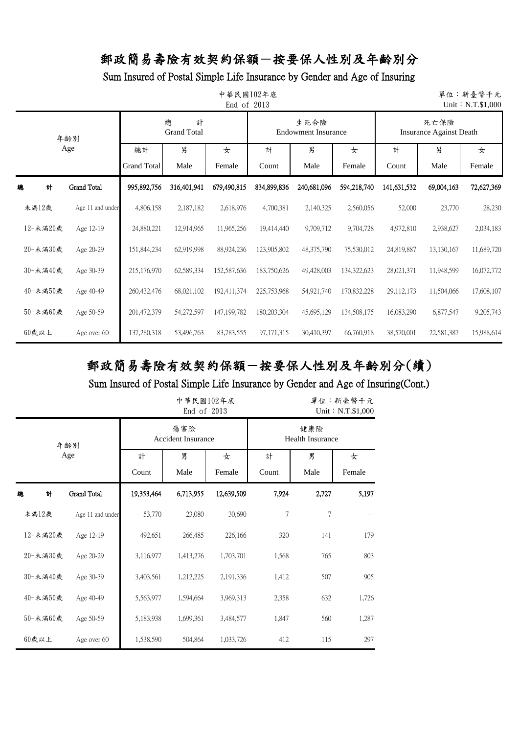Sum Insured of Postal Simple Life Insurance by Gender and Age of Insuring

|          | 中華民國102年底<br>單位:新臺幣千元<br>End of 2013<br>Unit: N.T.\$1,000 |                          |                              |               |              |                                    |             |                                        |            |             |  |  |  |  |
|----------|-----------------------------------------------------------|--------------------------|------------------------------|---------------|--------------|------------------------------------|-------------|----------------------------------------|------------|-------------|--|--|--|--|
|          | 年齢別                                                       |                          | 總<br>計<br><b>Grand Total</b> |               |              | 生死合險<br><b>Endowment Insurance</b> |             | 死亡保險<br><b>Insurance Against Death</b> |            |             |  |  |  |  |
|          | Age                                                       | 總計<br><b>Grand Total</b> | 男<br>Male                    | 女<br>Female   | 計<br>Count   | 男<br>Male                          | 女<br>Female | 男<br>計<br>Count<br>Male                |            | 女<br>Female |  |  |  |  |
| 總<br>計   | Grand Total                                               | 995,892,756              | 316,401,941                  | 679,490,815   | 834,899,836  | 240,681,096                        | 594,218,740 | 141,631,532                            | 69,004,163 | 72,627,369  |  |  |  |  |
| 未満12歲    | Age 11 and under                                          | 4,806,158                | 2,187,182                    | 2,618,976     | 4,700,381    | 2,140,325                          | 2,560,056   | 52,000                                 | 23,770     | 28,230      |  |  |  |  |
| 12-未滿20歲 | Age 12-19                                                 | 24,880,221               | 12,914,965                   | 11,965,256    | 19,414,440   | 9,709,712                          | 9,704,728   | 4,972,810                              | 2,938,627  | 2,034,183   |  |  |  |  |
| 20-未滿30歲 | Age 20-29                                                 | 151,844,234              | 62,919,998                   | 88,924,236    | 123,905,802  | 48,375,790                         | 75,530,012  | 24,819,887                             | 13,130,167 | 11,689,720  |  |  |  |  |
| 30-未滿40歲 | Age 30-39                                                 | 215,176,970              | 62,589,334                   | 152,587,636   | 183,750,626  | 49,428,003                         | 134,322,623 | 28,021,371                             | 11,948,599 | 16,072,772  |  |  |  |  |
| 40-未滿50歲 | Age 40-49                                                 | 260,432,476              | 68,021,102                   | 192,411,374   | 225,753,968  | 54,921,740                         | 170,832,228 | 29,112,173                             | 11,504,066 | 17,608,107  |  |  |  |  |
| 50-未滿60歲 | Age 50-59                                                 | 201,472,379              | 54,272,597                   | 147, 199, 782 | 180,203,304  | 45,695,129                         | 134,508,175 | 16,083,290                             | 6,877,547  | 9,205,743   |  |  |  |  |
| 60歲以上    | Age over 60                                               | 137,280,318              | 53,496,763                   | 83,783,555    | 97, 171, 315 | 30,410,397                         | 66,760,918  | 38,570,001                             | 22,581,387 | 15,988,614  |  |  |  |  |

## 郵政簡易壽險有效契約保額-按要保人性別及年齡別分(續)

|          |                    |            | 中華民國102年底<br>End of 2013  |             |                                | 單位:新臺幣千元<br>Unit: N.T.\$1,000 |             |  |
|----------|--------------------|------------|---------------------------|-------------|--------------------------------|-------------------------------|-------------|--|
|          | 年齢別                |            | 傷害險<br>Accident Insurance |             | 健康險<br><b>Health Insurance</b> |                               |             |  |
|          | Age                | 計<br>Count | 男<br>Male                 | 女<br>Female | 計<br>Count                     | 男<br>Male                     | 女<br>Female |  |
| 總<br>計   | <b>Grand Total</b> | 19,353,464 | 6,713,955                 | 12,639,509  | 7,924                          | 2,727                         | 5,197       |  |
| 未滿12歲    | Age 11 and under   | 53,770     | 23,080                    | 30,690      | 7                              | 7                             |             |  |
| 12-未滿20歲 | Age 12-19          | 492,651    | 266,485                   | 226,166     | 320                            | 141                           | 179         |  |
| 20-未滿30歲 | Age 20-29          | 3,116,977  | 1,413,276                 | 1,703,701   | 1,568                          | 765                           | 803         |  |
| 30-未滿40歲 | Age 30-39          | 3,403,561  | 1,212,225                 | 2,191,336   | 1,412                          | 507                           | 905         |  |
| 40-未滿50歲 | Age 40-49          | 5,563,977  | 1,594,664                 | 3,969,313   | 2,358                          | 632                           | 1,726       |  |
| 50-未滿60歲 | Age 50-59          | 5,183,938  | 1,699,361                 | 3,484,577   | 1,847                          | 560                           | 1,287       |  |
| 60歲以上    | Age over 60        | 1,538,590  | 504,864                   | 1,033,726   | 412                            | 115                           | 297         |  |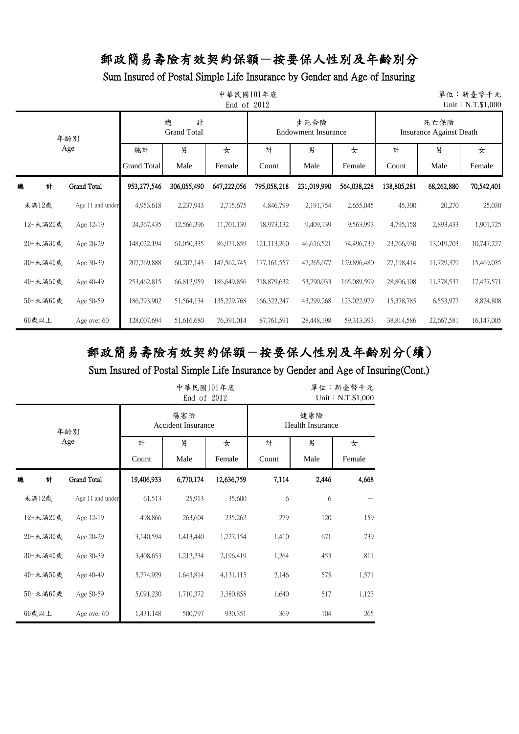Sum Insured of Postal Simple Life Insurance by Gender and Age of Insuring

|          | 中華民國101年底<br>單位:新臺幣千元<br>End of 2012<br>Unit: N.T.\$1,000 |                    |                              |             |               |                                    |             |             |                                        |            |  |  |  |  |
|----------|-----------------------------------------------------------|--------------------|------------------------------|-------------|---------------|------------------------------------|-------------|-------------|----------------------------------------|------------|--|--|--|--|
|          | 年齢別                                                       |                    | 總<br>計<br><b>Grand Total</b> |             |               | 生死合險<br><b>Endowment Insurance</b> |             |             | 死亡保險<br><b>Insurance Against Death</b> |            |  |  |  |  |
|          | Age                                                       | 總計                 | 男                            | 女           | 計             | 男                                  | 女           | 計           | 男                                      | 女          |  |  |  |  |
|          |                                                           | <b>Grand Total</b> | Male                         | Female      | Count         | Male                               | Female      | Count       | Male                                   | Female     |  |  |  |  |
| 計<br>總   | <b>Grand Total</b>                                        | 953,277,546        | 306,055,490                  | 647,222,056 | 795,058,218   | 231,019,990                        | 564,038,228 | 138,805,281 | 68,262,880                             | 70,542,401 |  |  |  |  |
| 未滿12歲    | Age 11 and under                                          | 4,953,618          | 2,237,943                    | 2,715,675   | 4,846,799     | 2,191,754                          | 2,655,045   | 45,300      | 20,270                                 | 25,030     |  |  |  |  |
| 12-未滿20歲 | Age 12-19                                                 | 24, 267, 435       | 12,566,296                   | 11,701,139  | 18,973,132    | 9,409,139                          | 9,563,993   | 4,795,158   | 2,893,433                              | 1,901,725  |  |  |  |  |
| 20-未滿30歲 | Age 20-29                                                 | 148,022,194        | 61,050,335                   | 86,971,859  | 121,113,260   | 46,616,521                         | 74,496,739  | 23,766,930  | 13,019,703                             | 10,747,227 |  |  |  |  |
| 30-未滿40歲 | Age 30-39                                                 | 207,769,888        | 60, 207, 143                 | 147,562,745 | 177, 161, 557 | 47,265,077                         | 129,896,480 | 27,198,414  | 11,729,379                             | 15,469,035 |  |  |  |  |
| 40-未滿50歲 | Age 40-49                                                 | 253,462,815        | 66,812,959                   | 186,649,856 | 218,879,632   | 53,790,033                         | 165,089,599 | 28,806,108  | 11,378,537                             | 17,427,571 |  |  |  |  |
| 50-未滿60歲 | Age 50-59                                                 | 186,793,902        | 51,564,134                   | 135,229,768 | 166, 322, 247 | 43,299,268                         | 123,022,979 | 15,378,785  | 6,553,977                              | 8,824,808  |  |  |  |  |
| $60$ 歲以上 | Age over 60                                               | 128,007,694        | 51,616,680                   | 76,391,014  | 87,761,591    | 28,448,198                         | 59,313,393  | 38,814,586  | 22,667,581                             | 16,147,005 |  |  |  |  |

## 郵政簡易壽險有效契約保額-按要保人性別及年齡別分(續)

|          |                  | 中華民國101年底<br>單位:新臺幣千元<br>End of 2012<br>Unit: N.T.\$1,000 |                                  |             |                                |        |       |  |  |  |
|----------|------------------|-----------------------------------------------------------|----------------------------------|-------------|--------------------------------|--------|-------|--|--|--|
|          | 年齢別              |                                                           | 傷害險<br><b>Accident Insurance</b> |             | 健康險<br><b>Health Insurance</b> |        |       |  |  |  |
|          | Age              | 計                                                         | 男                                | 女           | 計                              | 男<br>女 |       |  |  |  |
|          |                  | Count                                                     | Male                             | Female      | Count<br>Male<br>Female        |        |       |  |  |  |
| 總<br>計   | Grand Total      | 19,406,933                                                | 6,770,174                        | 12,636,759  | 7,114                          | 2,446  | 4,668 |  |  |  |
| 未滿12歲    | Age 11 and under | 61,513                                                    | 25,913                           | 35,600      | 6                              | 6      |       |  |  |  |
| 12-未滿20歲 | Age 12-19        | 498,866                                                   | 263,604                          | 235,262     | 279                            | 120    | 159   |  |  |  |
| 20-未滿30歲 | Age 20-29        | 3,140,594                                                 | 1,413,440                        | 1,727,154   | 1,410                          | 671    | 739   |  |  |  |
| 30-未滿40歲 | Age 30-39        | 3,408,653                                                 | 1,212,234                        | 2,196,419   | 1,264                          | 453    | 811   |  |  |  |
| 40-未滿50歲 | Age 40-49        | 5,774,929                                                 | 1,643,814                        | 4, 131, 115 | 2,146                          | 575    | 1,571 |  |  |  |
| 50-未滿60歲 | Age 50-59        | 5,091,230                                                 | 1,710,372                        | 3,380,858   | 1,640                          | 517    | 1,123 |  |  |  |
| 60歲以上    | Age over 60      | 1,431,148                                                 | 500,797                          | 930,351     | 369                            | 104    | 265   |  |  |  |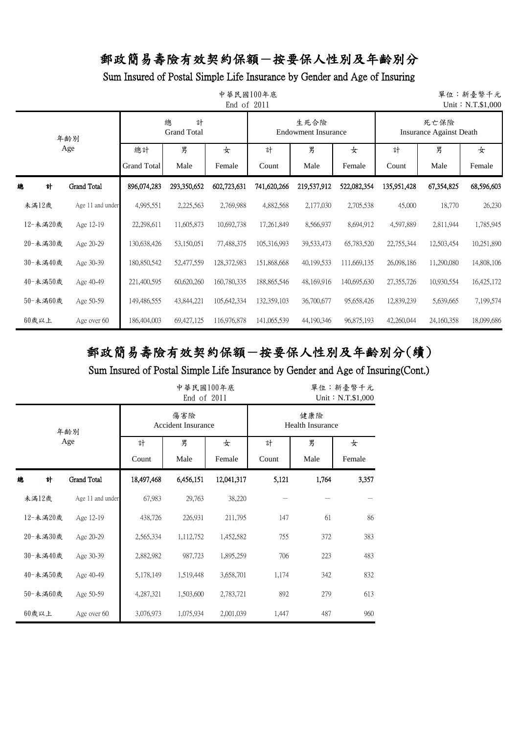Sum Insured of Postal Simple Life Insurance by Gender and Age of Insuring

|     | 中華民國100年底<br>單位:新臺幣千元<br>End of 2011<br>Unit: N.T.\$1,000 |                    |             |                              |             |               |                                    |             |                                        |            |            |  |  |  |
|-----|-----------------------------------------------------------|--------------------|-------------|------------------------------|-------------|---------------|------------------------------------|-------------|----------------------------------------|------------|------------|--|--|--|
|     |                                                           | 年齢別                |             | 總<br>計<br><b>Grand Total</b> |             |               | 生死合險<br><b>Endowment Insurance</b> |             | 死亡保險<br><b>Insurance Against Death</b> |            |            |  |  |  |
| Age |                                                           | 總計                 | 男           | 女                            | 計           | 男             | 女                                  | 計           | 男                                      | 女          |            |  |  |  |
|     |                                                           | <b>Grand Total</b> | Male        | Female                       | Count       | Male          | Female                             | Count       | Male                                   | Female     |            |  |  |  |
| 總   | 計                                                         | <b>Grand Total</b> | 896,074,283 | 293,350,652                  | 602,723,631 | 741,620,266   | 219,537,912                        | 522,082,354 | 135,951,428                            | 67,354,825 | 68,596,603 |  |  |  |
|     | 未滿12歲                                                     | Age 11 and under   | 4,995,551   | 2,225,563                    | 2,769,988   | 4,882,568     | 2,177,030                          | 2,705,538   | 45,000                                 | 18,770     | 26,230     |  |  |  |
|     | 12-未滿20歲                                                  | Age 12-19          | 22,298,611  | 11,605,873                   | 10,692,738  | 17,261,849    | 8,566,937                          | 8,694,912   | 4,597,889                              | 2,811,944  | 1,785,945  |  |  |  |
|     | 20-未滿30歲                                                  | Age 20-29          | 130,638,426 | 53,150,051                   | 77,488,375  | 105,316,993   | 39, 533, 473                       | 65,783,520  | 22,755,344                             | 12,503,454 | 10,251,890 |  |  |  |
|     | 30-未滿40歲                                                  | Age 30-39          | 180,850,542 | 52,477,559                   | 128,372,983 | 151,868,668   | 40,199,533                         | 111,669,135 | 26,098,186                             | 11,290,080 | 14,808,106 |  |  |  |
|     | 40-未滿50歲                                                  | Age 40-49          | 221,400,595 | 60,620,260                   | 160,780,335 | 188, 865, 546 | 48,169,916                         | 140,695,630 | 27,355,726                             | 10,930,554 | 16,425,172 |  |  |  |
|     | 50-未滿60歲                                                  | Age 50-59          | 149,486,555 | 43,844,221                   | 105,642,334 | 132,359,103   | 36,700,677                         | 95,658,426  | 12,839,239                             | 5,639,665  | 7,199,574  |  |  |  |
|     | $60$ 歲以上                                                  | Age over 60        | 186,404,003 | 69,427,125                   | 116,976,878 | 141,065,539   | 44,190,346                         | 96,875,193  | 42,260,044                             | 24,160,358 | 18,099,686 |  |  |  |

## 郵政簡易壽險有效契約保額-按要保人性別及年齡別分(續)

|          |                  |            | 中華民國100年底<br>End of 2011         |            | 單位:新臺幣千元<br>Unit: N.T.\$1,000 |                         |       |  |  |
|----------|------------------|------------|----------------------------------|------------|-------------------------------|-------------------------|-------|--|--|
|          | 年齢別              |            | 傷害險<br><b>Accident Insurance</b> |            |                               | 健康險<br>Health Insurance |       |  |  |
|          | Age              | 計          | 男                                | 女          | 計                             | 男<br>女                  |       |  |  |
|          |                  | Count      | Male                             | Female     | Count                         | Male<br>Female          |       |  |  |
| 總<br>計   | Grand Total      | 18,497,468 | 6,456,151                        | 12,041,317 | 5,121                         | 1,764                   | 3,357 |  |  |
| 未滿12歲    | Age 11 and under | 67,983     | 29,763                           | 38,220     |                               |                         |       |  |  |
| 12-未滿20歲 | Age 12-19        | 438,726    | 226,931                          | 211,795    | 147                           | 61                      | 86    |  |  |
| 20-未滿30歲 | Age 20-29        | 2,565,334  | 1,112,752                        | 1,452,582  | 755                           | 372                     | 383   |  |  |
| 30-未滿40歲 | Age 30-39        | 2,882,982  | 987,723                          | 1,895,259  | 706                           | 223                     | 483   |  |  |
| 40-未滿50歲 | Age 40-49        | 5,178,149  | 1,519,448                        | 3,658,701  | 1,174                         | 342                     | 832   |  |  |
| 50-未滿60歲 | Age 50-59        | 4,287,321  | 1,503,600                        | 2,783,721  | 892                           | 279                     | 613   |  |  |
| $60$ 歲以上 | Age over 60      | 3,076,973  | 1,075,934                        | 2,001,039  | 1,447                         | 487                     | 960   |  |  |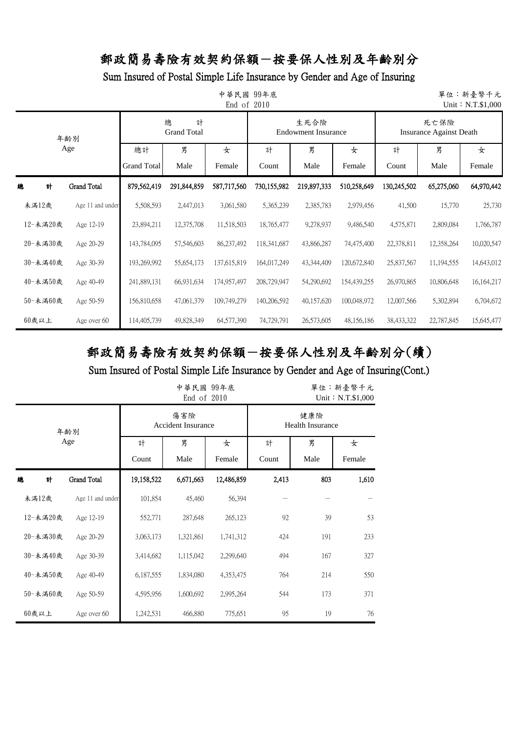Sum Insured of Postal Simple Life Insurance by Gender and Age of Insuring

|   | 中華民國<br>99年底<br>單位:新臺幣千元<br>End of 2010<br>Unit: N.T.\$1,000 |                    |                    |                              |             |             |                                    |             |                                        |            |              |  |  |  |
|---|--------------------------------------------------------------|--------------------|--------------------|------------------------------|-------------|-------------|------------------------------------|-------------|----------------------------------------|------------|--------------|--|--|--|
|   |                                                              | 年齢別                |                    | 總<br>計<br><b>Grand Total</b> |             |             | 生死合險<br><b>Endowment Insurance</b> |             | 死亡保險<br><b>Insurance Against Death</b> |            |              |  |  |  |
|   | Age                                                          |                    | 總計                 | 男                            | 女           | 計           | 男                                  | 女           | 計                                      | 男          | 女            |  |  |  |
|   |                                                              |                    | <b>Grand Total</b> | Male                         | Female      | Count       | Male                               | Female      | Count                                  | Male       | Female       |  |  |  |
| 總 | 計                                                            | <b>Grand Total</b> | 879,562,419        | 291,844,859                  | 587,717,560 | 730,155,982 | 219,897,333                        | 510,258,649 | 130,245,502                            | 65,275,060 | 64,970,442   |  |  |  |
|   | 未満12歲                                                        | Age 11 and under   | 5,508,593          | 2,447,013                    | 3,061,580   | 5,365,239   | 2,385,783                          | 2,979,456   | 41,500                                 | 15,770     | 25,730       |  |  |  |
|   | 12-未滿20歲                                                     | Age 12-19          | 23,894,211         | 12,375,708                   | 11,518,503  | 18,765,477  | 9,278,937                          | 9,486,540   | 4,575,871                              | 2,809,084  | 1,766,787    |  |  |  |
|   | 20-未滿30歲                                                     | Age 20-29          | 143,784,095        | 57,546,603                   | 86,237,492  | 118,341,687 | 43,866,287                         | 74,475,400  | 22,378,811                             | 12,358,264 | 10,020,547   |  |  |  |
|   | 30-未滿40歲                                                     | Age 30-39          | 193,269,992        | 55,654,173                   | 137,615,819 | 164,017,249 | 43,344,409                         | 120,672,840 | 25,837,567                             | 11,194,555 | 14,643,012   |  |  |  |
|   | 40-未滿50歲                                                     | Age 40-49          | 241,889,131        | 66,931,634                   | 174,957,497 | 208,729,947 | 54,290,692                         | 154,439,255 | 26,970,865                             | 10,806,648 | 16, 164, 217 |  |  |  |
|   | 50-未滿60歲                                                     | Age 50-59          | 156,810,658        | 47,061,379                   | 109,749,279 | 140,206,592 | 40,157,620                         | 100,048,972 | 12,007,566                             | 5,302,894  | 6,704,672    |  |  |  |
|   | $60$ 歲以上                                                     | Age over 60        | 114,405,739        | 49,828,349                   | 64,577,390  | 74,729,791  | 26,573,605                         | 48,156,186  | 38,433,322                             | 22,787,845 | 15,645,477   |  |  |  |

## 郵政簡易壽險有效契約保額-按要保人性別及年齡別分(續)

|          |   | 單位:新臺幣千元<br>Unit: N.T.\$1,000 |            |                                  |            |                                |     |       |  |
|----------|---|-------------------------------|------------|----------------------------------|------------|--------------------------------|-----|-------|--|
|          |   | 年齢別                           |            | 傷害險<br><b>Accident Insurance</b> |            | 健康險<br><b>Health Insurance</b> |     |       |  |
|          |   | Age                           | 計          | 男                                | 女          | 計                              | 男   | 女     |  |
|          |   |                               | Count      | Male                             | Female     | Count<br>Male<br>Female        |     |       |  |
| 總        | 計 | <b>Grand Total</b>            | 19,158,522 | 6,671,663                        | 12,486,859 | 2,413                          | 803 | 1,610 |  |
| 未滿12歲    |   | Age 11 and under              | 101,854    | 45,460                           | 56,394     |                                |     |       |  |
| 12-未滿20歲 |   | Age 12-19                     | 552,771    | 287,648                          | 265,123    | 92                             | 39  | 53    |  |
| 20-未滿30歲 |   | Age 20-29                     | 3,063,173  | 1,321,861                        | 1,741,312  | 424                            | 191 | 233   |  |
| 30-未滿40歲 |   | Age 30-39                     | 3,414,682  | 1,115,042                        | 2,299,640  | 494                            | 167 | 327   |  |
| 40-未滿50歲 |   | Age 40-49                     | 6,187,555  | 1,834,080                        | 4,353,475  | 764                            | 214 | 550   |  |
| 50-未滿60歲 |   | Age 50-59                     | 4,595,956  | 1,600,692                        | 2,995,264  | 544                            | 173 | 371   |  |
| $60$ 歲以上 |   | Age over 60                   | 1,242,531  | 466,880                          | 775,651    | 95                             | 19  | 76    |  |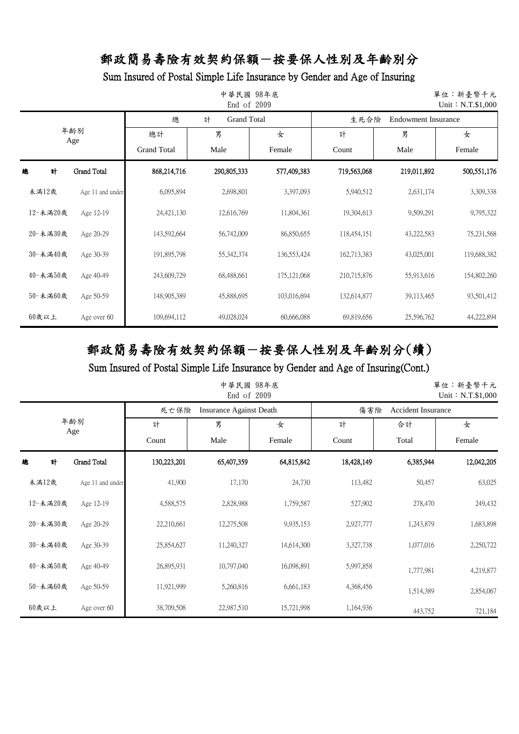Sum Insured of Postal Simple Life Insurance by Gender and Age of Insuring

| 中華民國 98年底<br>單位:新臺幣千元<br>End of 2009<br>Unit: N.T.\$1,000 |                    |                    |                         |               |             |                            |             |  |
|-----------------------------------------------------------|--------------------|--------------------|-------------------------|---------------|-------------|----------------------------|-------------|--|
|                                                           |                    | 總                  | <b>Grand Total</b><br>計 |               | 生死合險        | <b>Endowment Insurance</b> |             |  |
| 年齢別<br>Age                                                |                    | 總計                 | 男                       | 女             | 計           | 男                          | 女           |  |
|                                                           |                    | <b>Grand Total</b> | Male                    | Female        | Count       | Male                       | Female      |  |
| 計<br>總                                                    | <b>Grand Total</b> | 868,214,716        | 290,805,333             | 577,409,383   | 719,563,068 | 219,011,892                | 500,551,176 |  |
| 未滿12歲                                                     | Age 11 and under   | 6,095,894          | 2,698,801               | 3,397,093     | 5,940,512   | 2,631,174                  | 3,309,338   |  |
| 12-未滿20歲                                                  | Age 12-19          | 24,421,130         | 12,616,769              | 11,804,361    | 19,304,613  | 9,509,291                  | 9,795,322   |  |
| 20-未滿30歲                                                  | Age 20-29          | 143,592,664        | 56,742,009              | 86,850,655    | 118,454,151 | 43,222,583                 | 75,231,568  |  |
| 30-未滿40歲                                                  | Age 30-39          | 191,895,798        | 55, 342, 374            | 136,553,424   | 162,713,383 | 43,025,001                 | 119,688,382 |  |
| 40-未滿50歲                                                  | Age 40-49          | 243,609,729        | 68,488,661              | 175, 121, 068 | 210,715,876 | 55,913,616                 | 154,802,260 |  |
| 50-未滿60歲                                                  | Age 50-59          | 148,905,389        | 45,888,695              | 103,016,694   | 132,614,877 | 39,113,465                 | 93,501,412  |  |
| $60$ 歲以上                                                  | Age over 60        | 109,694,112        | 49,028,024              | 60,666,088    | 69,819,656  | 25,596,762                 | 44,222,894  |  |

# 郵政簡易壽險有效契約保額-按要保人性別及年齡別分(續)

| 中華民國 98年底<br>單位:新臺幣千元<br>End of 2009<br>Unit: $N.T.$ \$1,000 |                  |             |                                |            |            |                           |            |  |  |
|--------------------------------------------------------------|------------------|-------------|--------------------------------|------------|------------|---------------------------|------------|--|--|
|                                                              |                  | 死亡保險        | <b>Insurance Against Death</b> |            | 傷害險        | <b>Accident Insurance</b> |            |  |  |
| 年齢別<br>Age                                                   |                  | 計           | 男                              | 女          | 計          | 合計                        | 女          |  |  |
|                                                              |                  | Count       | Male                           | Female     | Count      | Total                     | Female     |  |  |
| 總<br>計                                                       | Grand Total      | 130,223,201 | 65,407,359                     | 64,815,842 | 18,428,149 | 6,385,944                 | 12,042,205 |  |  |
| 未満12歲                                                        | Age 11 and under | 41,900      | 17,170                         | 24,730     | 113,482    | 50,457                    | 63,025     |  |  |
| 12-未滿20歲                                                     | Age 12-19        | 4,588,575   | 2,828,988                      | 1,759,587  | 527,902    | 278,470                   | 249,432    |  |  |
| 20-未滿30歲                                                     | Age 20-29        | 22,210,661  | 12,275,508                     | 9,935,153  | 2,927,777  | 1,243,879                 | 1,683,898  |  |  |
| 30-未滿40歲                                                     | Age 30-39        | 25,854,627  | 11,240,327                     | 14,614,300 | 3,327,738  | 1,077,016                 | 2,250,722  |  |  |
| 40-未滿50歲                                                     | Age 40-49        | 26,895,931  | 10,797,040                     | 16,098,891 | 5,997,858  | 1,777,981                 | 4,219,877  |  |  |
| 50-未滿60歲                                                     | Age 50-59        | 11,921,999  | 5,260,816                      | 6,661,183  | 4,368,456  | 1,514,389                 | 2,854,067  |  |  |
| 60歲以上                                                        | Age over 60      | 38,709,508  | 22,987,510                     | 15,721,998 | 1,164,936  | 443,752                   | 721,184    |  |  |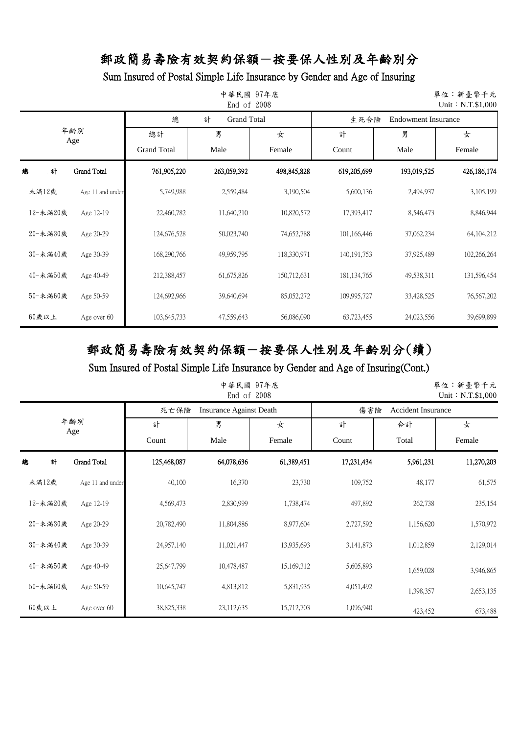Sum Insured of Postal Simple Life Insurance by Gender and Age of Insuring

| 中華民國 97年底<br>單位:新臺幣千元<br>End of 2008<br>Unit: N.T.\$1,000 |                    |                    |                         |             |                                    |             |              |  |
|-----------------------------------------------------------|--------------------|--------------------|-------------------------|-------------|------------------------------------|-------------|--------------|--|
|                                                           |                    | 總                  | <b>Grand Total</b><br>計 |             | <b>Endowment Insurance</b><br>生死合險 |             |              |  |
| 年齢別<br>Age                                                |                    | 總計                 | 男                       | 女           | 計                                  | 男           | 女            |  |
|                                                           |                    | <b>Grand Total</b> | Male                    | Female      | Count                              | Male        | Female       |  |
| 計<br>總                                                    | <b>Grand Total</b> | 761,905,220        | 263,059,392             | 498,845,828 | 619,205,699                        | 193,019,525 | 426,186,174  |  |
| 未滿12歲                                                     | Age 11 and under   | 5,749,988          | 2,559,484               | 3,190,504   | 5,600,136                          | 2,494,937   | 3,105,199    |  |
| 12-未滿20歲                                                  | Age 12-19          | 22,460,782         | 11,640,210              | 10,820,572  | 17,393,417                         | 8,546,473   | 8,846,944    |  |
| 20-未滿30歲                                                  | Age 20-29          | 124,676,528        | 50,023,740              | 74,652,788  | 101,166,446                        | 37,062,234  | 64, 104, 212 |  |
| 30-未滿40歲                                                  | Age 30-39          | 168,290,766        | 49,959,795              | 118,330,971 | 140, 191, 753                      | 37,925,489  | 102,266,264  |  |
| 40-未滿50歲                                                  | Age 40-49          | 212,388,457        | 61, 675, 826            | 150,712,631 | 181, 134, 765                      | 49,538,311  | 131,596,454  |  |
| 50-未滿60歲                                                  | Age 50-59          | 124,692,966        | 39,640,694              | 85,052,272  | 109,995,727                        | 33,428,525  | 76,567,202   |  |
| 60歲以上                                                     | Age over 60        | 103,645,733        | 47,559,643              | 56,086,090  | 63,723,455                         | 24,023,556  | 39,699,899   |  |

# 郵政簡易壽險有效契約保額-按要保人性別及年齡別分(續)

|          |                  |             | 中華民國 97年底<br>End of 2008       |            |            |                           | 單位:新臺幣千元<br>Unit: N.T.\$1,000 |
|----------|------------------|-------------|--------------------------------|------------|------------|---------------------------|-------------------------------|
|          |                  | 死亡保險        | <b>Insurance Against Death</b> |            | 傷害險        | <b>Accident Insurance</b> |                               |
|          | 年齢別              | 計           | 男                              | 女          | 計          | 合計                        | 女                             |
| Age      |                  | Count       | Male                           | Female     | Count      | Total                     | Female                        |
| 總<br>計   | Grand Total      | 125,468,087 | 64,078,636                     | 61,389,451 | 17,231,434 | 5,961,231                 | 11,270,203                    |
| 未滿12歲    | Age 11 and under | 40,100      | 16,370                         | 23,730     | 109,752    | 48,177                    | 61,575                        |
| 12-未滿20歲 | Age 12-19        | 4,569,473   | 2,830,999                      | 1,738,474  | 497,892    | 262,738                   | 235,154                       |
| 20-未満30歲 | Age 20-29        | 20,782,490  | 11,804,886                     | 8,977,604  | 2,727,592  | 1,156,620                 | 1,570,972                     |
| 30-未滿40歲 | Age 30-39        | 24,957,140  | 11,021,447                     | 13,935,693 | 3,141,873  | 1,012,859                 | 2,129,014                     |
| 40-未滿50歲 | Age 40-49        | 25,647,799  | 10,478,487                     | 15,169,312 | 5,605,893  | 1,659,028                 | 3,946,865                     |
| 50-未滿60歲 | Age 50-59        | 10,645,747  | 4,813,812                      | 5,831,935  | 4,051,492  | 1,398,357                 | 2,653,135                     |
| 60歲以上    | Age over 60      | 38,825,338  | 23,112,635                     | 15,712,703 | 1,096,940  | 423,452                   | 673,488                       |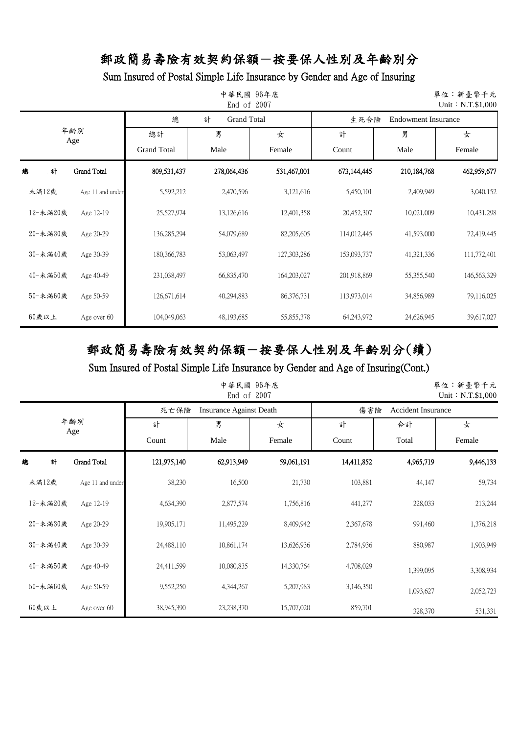Sum Insured of Postal Simple Life Insurance by Gender and Age of Insuring

| 中華民國 96年底<br>單位:新臺幣千元<br>End of 2007<br>Unit: $N.T.$ \$1,000 |                  |                    |                         |               |                                    |             |             |  |  |
|--------------------------------------------------------------|------------------|--------------------|-------------------------|---------------|------------------------------------|-------------|-------------|--|--|
|                                                              |                  | 總                  | 計<br><b>Grand Total</b> |               | <b>Endowment Insurance</b><br>生死合險 |             |             |  |  |
| 年齢別<br>Age                                                   |                  | 總計                 | 男                       | 女             | 計                                  | 男           | 女           |  |  |
|                                                              |                  | <b>Grand Total</b> | Male                    | Female        | Count                              | Male        | Female      |  |  |
| 總<br>計                                                       | Grand Total      | 809,531,437        | 278,064,436             | 531,467,001   | 673,144,445                        | 210,184,768 | 462,959,677 |  |  |
| 未満12歲                                                        | Age 11 and under | 5,592,212          | 2,470,596               | 3,121,616     | 5,450,101                          | 2,409,949   | 3,040,152   |  |  |
| 12-未滿20歲                                                     | Age 12-19        | 25,527,974         | 13,126,616              | 12,401,358    | 20,452,307                         | 10,021,009  | 10,431,298  |  |  |
| 20-未満30歲                                                     | Age 20-29        | 136,285,294        | 54,079,689              | 82,205,605    | 114,012,445                        | 41,593,000  | 72,419,445  |  |  |
| 30-未滿40歲                                                     | Age 30-39        | 180, 366, 783      | 53,063,497              | 127, 303, 286 | 153,093,737                        | 41,321,336  | 111,772,401 |  |  |
| 40-未滿50歲                                                     | Age 40-49        | 231,038,497        | 66,835,470              | 164,203,027   | 201,918,869                        | 55,355,540  | 146,563,329 |  |  |
| 50-未滿60歲                                                     | Age 50-59        | 126,671,614        | 40,294,883              | 86,376,731    | 113,973,014                        | 34,856,989  | 79,116,025  |  |  |
| $60$ 歲以上                                                     | Age over 60      | 104,049,063        | 48,193,685              | 55,855,378    | 64,243,972                         | 24,626,945  | 39,617,027  |  |  |

# 郵政簡易壽險有效契約保額-按要保人性別及年齡別分(續)

|            |                  |             | 中華民國 96年底<br>End of 2007       |            |            |                           | 單位:新臺幣千元<br>Unit: $N.T.$ \$1,000 |
|------------|------------------|-------------|--------------------------------|------------|------------|---------------------------|----------------------------------|
|            |                  | 死亡保險        | <b>Insurance Against Death</b> |            | 傷害險        | <b>Accident Insurance</b> |                                  |
| 年齢別<br>Age |                  | 計           | 男                              | 女          | 計          | 合計                        | 女                                |
|            |                  | Count       | Male                           | Female     | Count      | Total                     | Female                           |
| 計<br>總     | Grand Total      | 121,975,140 | 62,913,949                     | 59,061,191 | 14,411,852 | 4,965,719                 | 9,446,133                        |
| 未満12歲      | Age 11 and under | 38,230      | 16,500                         | 21,730     | 103,881    | 44,147                    | 59,734                           |
| 12-未滿20歲   | Age 12-19        | 4,634,390   | 2,877,574                      | 1,756,816  | 441,277    | 228,033                   | 213,244                          |
| 20-未満30歲   | Age 20-29        | 19,905,171  | 11,495,229                     | 8,409,942  | 2,367,678  | 991,460                   | 1,376,218                        |
| 30-未滿40歲   | Age 30-39        | 24,488,110  | 10,861,174                     | 13,626,936 | 2,784,936  | 880,987                   | 1,903,949                        |
| 40-未満50歲   | Age 40-49        | 24,411,599  | 10,080,835                     | 14,330,764 | 4,708,029  | 1,399,095                 | 3,308,934                        |
| 50-未滿60歲   | Age 50-59        | 9,552,250   | 4,344,267                      | 5,207,983  | 3,146,350  | 1,093,627                 | 2,052,723                        |
| 60歲以上      | Age over 60      | 38,945,390  | 23,238,370                     | 15,707,020 | 859,701    | 328,370                   | 531,331                          |